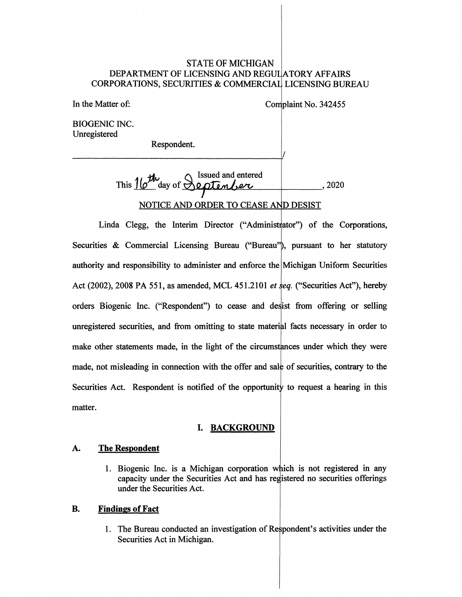# STATE OF MICHIGAN DEPARTMENT OF LICENSING AND REGUL|ATORY AFFAIRS CORPORATIONS, SECURITIES & COMMERCIAL LICENSING BUREAU

In the Matter of:

Complaint No. 342455

BIOGENIC INC. Unregistered

> This 16<sup>th</sup> day of Septenber , 2020 NOTICE AND ORDER TO CEASE AND DESIST

Respondent.

Linda Clegg, the Interim Director ("Administrator") of the Corporations, Securities & Commercial Licensing Bureau ("Bureau"), pursuant to her statutory authority and responsibility to administer and enforce the Michigan Uniform Securities Act (2002), 2008 PA 551, as amended, MCL 451.2101 *et eq.* ("Securities Act"), hereby orders Biogenic Inc. ("Respondent") to cease and desist from offering or selling unregistered securities, and from omitting to state material facts necessary in order to make other statements made, in the light of the circums tances under which they were made, not misleading in connection with the offer and sale of securities, contrary to the Securities Act. Respondent is notified of the opportunity to request a hearing in this matter.

# I. **BACKGROUND**

# **A. The Respondent**

1. Biogenic Inc. is a Michigan corporation which is not registered in any capacity under the Securities Act and has registered no securities offerings under the Securities Act.

#### **B. Findings of Fact**

1. The Bureau conducted an investigation of Respondent's activities under the Securities Act in Michigan.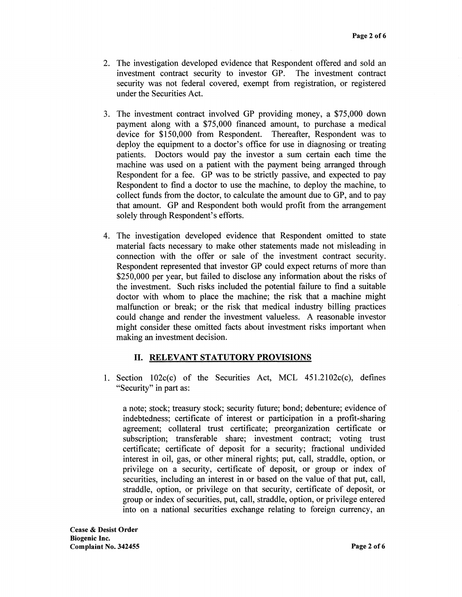- 2. The investigation developed evidence that Respondent offered and sold an investment contract security to investor GP. The investment contract security was not federal covered, exempt from registration, or registered under the Securities Act.
- 3. The investment contract involved GP providing money, a \$75,000 down payment along with a \$75,000 financed amount, to purchase a medical device for \$150,000 from Respondent. Thereafter, Respondent was to deploy the equipment to a doctor's office for use in diagnosing or treating patients. Doctors would pay the investor a sum certain each time the machine was used on a patient with the payment being arranged through Respondent for a fee. GP was to be strictly passive, and expected to pay Respondent to find a doctor to use the machine, to deploy the machine, to collect funds from the doctor, to calculate the amount due to GP, and to pay that amount. GP and Respondent both would profit from the arrangement solely through Respondent's efforts.
- 4. The investigation developed evidence that Respondent omitted to state material facts necessary to make other statements made not misleading in connection with the offer or sale of the investment contract security. Respondent represented that investor GP could expect returns of more than \$250,000 per year, but failed to disclose any information about the risks of the investment. Such risks included the potential failure to find a suitable doctor with whom to place the machine; the risk that a machine might malfunction or break; or the risk that medical industry billing practices could change and render the investment valueless. A reasonable investor might consider these omitted facts about investment risks important when making an investment decision.

# II. **RELEVANT STATUTORY PROVISIONS**

1. Section  $102c(c)$  of the Securities Act, MCL  $451.2102c(c)$ , defines "Security" in part as:

a note; stock; treasury stock; security future; bond; debenture; evidence of indebtedness; certificate of interest or participation in a profit-sharing agreement; collateral trust certificate; preorganization certificate or subscription; transferable share; investment contract; voting trust certificate; certificate of deposit for a security; fractional undivided interest in oil, gas, or other mineral rights; put, call, straddle, option, or privilege on a security, certificate of deposit, or group or index of securities, including an interest in or based on the value of that put, call, straddle, option, or privilege on that security, certificate of deposit, or group or index of securities, put, call, straddle, option, or privilege entered into on a national securities exchange relating to foreign currency, an

**Cease** & **Desist Order Biogenic Inc. Complaint No. 342455 Page2of6**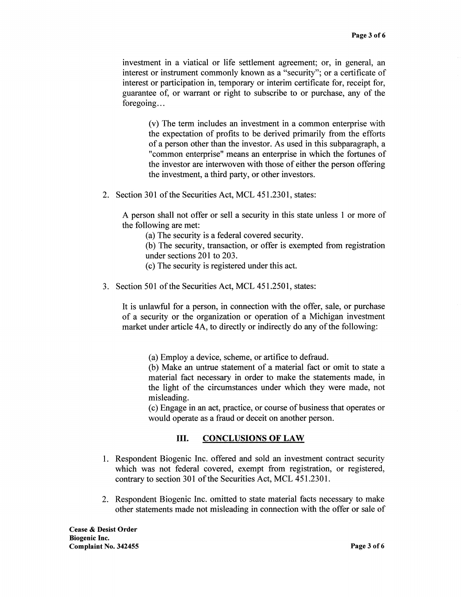investment in a viatical or life settlement agreement; or, in general, an interest or instrument commonly known as a "security"; or a certificate of interest or participation in, temporary or interim certificate for, receipt for, guarantee of, or warrant or right to subscribe to or purchase, any of the foregoing...

(v) The term includes an investment in a common enterprise with the expectation of profits to be derived primarily from the efforts of a person other than the investor. As used in this subparagraph, a "common enterprise" means an enterprise in which the fortunes of the investor are interwoven with those of either the person offering the investment, a third party, or other investors.

2. Section 301 of the Securities Act, MCL 451.2301, states:

A person shall not offer or sell a security in this state unless 1 or more of the following are met:

(a) The security is a federal covered security.

(b) The security, transaction, or offer is exempted from registration under sections 201 to 203.

- ( c) The security is registered under this act.
- 3. Section 501 of the Securities Act, MCL 451.2501, states:

It is unlawful for a person, in connection with the offer, sale, or purchase of a security or the organization or operation of a Michigan investment market under article 4A, to directly or indirectly do any of the following:

(a) Employ a device, scheme, or artifice to defraud.

(b) Make an untrue statement of a material fact or omit to state a material fact necessary in order to make the statements made, in the light of the circumstances under which they were made, not misleading.

(c) Engage in an act, practice, or course of business that operates or would operate as a fraud or deceit on another person.

### III. **CONCLUSIONS OF LAW**

- 1. Respondent Biogenic Inc. offered and sold an investment contract security which was not federal covered, exempt from registration, or registered, contrary to section 301 of the Securities Act, MCL 451.2301.
- 2. Respondent Biogenic Inc. omitted to state material facts necessary to make other statements made not misleading in connection with the offer or sale of

**Cease** & **Desist Order Biogenic Inc. Complaint No. 342455 Page 3 of6**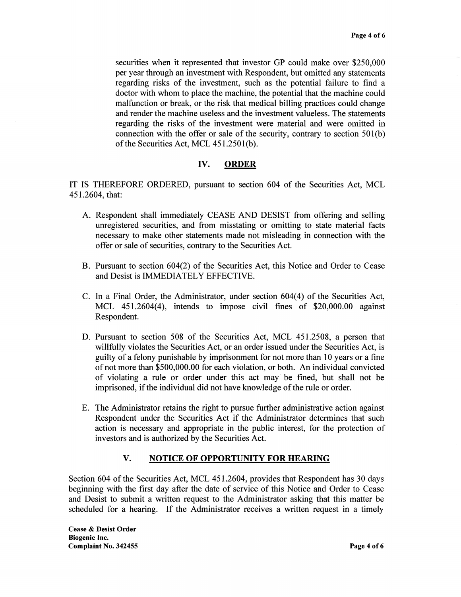securities when it represented that investor GP could make over \$250,000 per year through an investment with Respondent, but omitted any statements regarding risks of the investment, such as the potential failure to find a doctor with whom to place the machine, the potential that the machine could malfunction or break, or the risk that medical billing practices could change and render the machine useless and the investment valueless. The statements regarding the risks of the investment were material and were omitted in connection with the offer or sale of the security, contrary to section  $501(b)$ of the Securities Act, MCL 451.2501(b).

# **IV. ORDER**

IT IS THEREFORE ORDERED, pursuant to section 604 of the Securities Act, MCL 451.2604, that:

- A. Respondent shall immediately CEASE AND DESIST from offering and selling unregistered securities, and from misstating or omitting to state material facts necessary to make other statements made not misleading in connection with the offer or sale of securities, contrary to the Securities Act.
- B. Pursuant to section 604(2) of the Securities Act, this Notice and Order to Cease and Desist is IMMEDIATELY EFFECTIVE.
- C. In a Final Order, the Administrator, under section 604(4) of the Securities Act, MCL 451.2604(4), intends to impose civil fines of \$20,000.00 against Respondent.
- D. Pursuant to section 508 of the Securities Act, MCL 451.2508, a person that willfully violates the Securities Act, or an order issued under the Securities Act, is guilty of a felony punishable by imprisonment for not more than 10 years or a fine of not more than \$500,000.00 for each violation, or both. An individual convicted of violating a rule or order under this act may be fined, but shall not be imprisoned, if the individual did not have knowledge of the rule or order.
- E. The Administrator retains the right to pursue further administrative action against Respondent under the Securities Act if the Administrator determines that such action is necessary and appropriate in the public interest, for the protection of investors and is authorized by the Securities Act.

## **V. NOTICE OF OPPORTUNITY FOR HEARING**

Section 604 of the Securities Act, MCL 451.2604, provides that Respondent has 30 days beginning with the first day after the date of service of this Notice and Order to Cease and Desist to submit a written request to the Administrator asking that this matter be scheduled for a hearing. If the Administrator receives a written request in a timely

**Cease** & **Desist Order Biogenic Inc. Complaint No. 342455 Page4of6**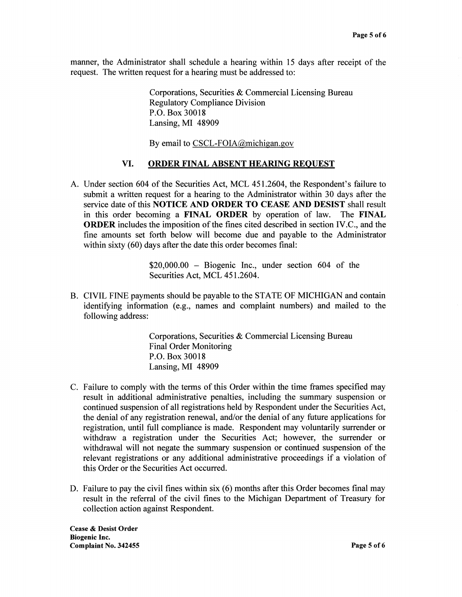manner, the Administrator shall schedule a hearing within 15 days after receipt of the request. The written request for a hearing must be addressed to:

> Corporations, Securities & Commercial Licensing Bureau Regulatory Compliance Division P.O. Box 30018 Lansing, MI 48909

By email to CSCL-FOIA@michigan.gov

# **VI. ORDER FINAL ABSENT HEARING REQUEST**

A. Under section 604 of the Securities Act, MCL 451.2604, the Respondent's failure to submit a written request for a hearing to the Administrator within 30 days after the service date of this **NOTICE AND ORDER TO CEASE AND DESIST** shall result in this order becoming a **FINAL ORDER** by operation of law. The **FINAL ORDER** includes the imposition of the fines cited described in section IV.C., and the fine amounts set forth below will become due and payable to the Administrator within sixty (60) days after the date this order becomes final:

> $$20,000.00 - Biogenic$  Inc., under section 604 of the Securities Act, MCL 451.2604.

B. CIVIL FINE payments should be payable to the STATE OF MICHIGAN and contain identifying information (e.g., names and complaint numbers) and mailed to the following address:

> Corporations, Securities & Commercial Licensing Bureau Final Order Monitoring P.O. Box 30018 Lansing, MI 48909

- C. Failure to comply with the terms of this Order within the time frames specified may result in additional administrative penalties, including the summary suspension or continued suspension of all registrations held by Respondent under the Securities Act, the denial of any registration renewal, and/or the denial of any future applications for registration, until full compliance is made. Respondent may voluntarily surrender or withdraw a registration under the Securities Act; however, the surrender or withdrawal will not negate the summary suspension or continued suspension of the relevant registrations or any additional administrative proceedings if a violation of this Order or the Securities Act occurred.
- D. Failure to pay the civil fines within six (6) months after this Order becomes fmal may result in the referral of the civil fines to the Michigan Department of Treasury for collection action against Respondent.

**Cease** & **Desist Order Biogenic Inc. Complaint No. 342455 Page 5 of6**